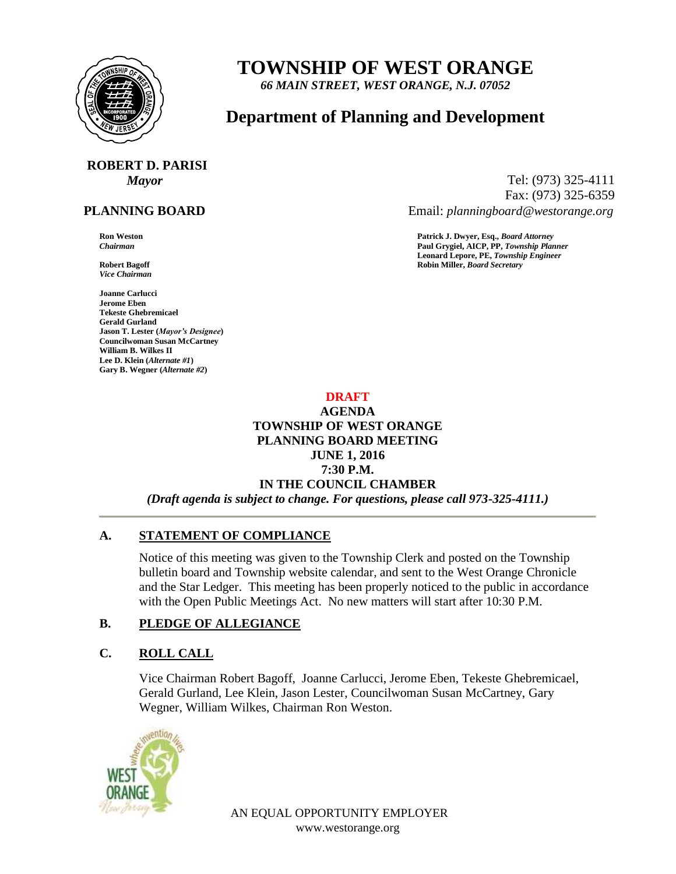

# **TOWNSHIP OF WEST ORANGE**

*66 MAIN STREET, WEST ORANGE, N.J. 07052*

# **Department of Planning and Development**

# **ROBERT D. PARISI**

## **PLANNING BOARD**

*Vice Chairman*

**Joanne Carlucci Jerome Eben Tekeste Ghebremicael Gerald Gurland Jason T. Lester (***Mayor's Designee***) Councilwoman Susan McCartney William B. Wilkes II Lee D. Klein (***Alternate #1***) Gary B. Wegner (***Alternate #2***)**

*Mayor* Tel: (973) 325-4111 Fax: (973) 325-6359 Email: *planningboard@westorange.org*

**Ron Weston**<br> **Ratrick J. Dwyer, Esq.,** *Board Attorney***<br>
Paul Grygiel. AICP. PP. Township Plan** *Chairman* **Paul Grygiel, AICP, PP,** *Township Planner* **Leonard Lepore, PE,** *Township Engineer* **Robert Bagoff Robin Miller,** *Board Secretary*

#### **DRAFT**

# **AGENDA TOWNSHIP OF WEST ORANGE PLANNING BOARD MEETING JUNE 1, 2016 7:30 P.M. IN THE COUNCIL CHAMBER** *(Draft agenda is subject to change. For questions, please call 973-325-4111.)*

# **A. STATEMENT OF COMPLIANCE**

Notice of this meeting was given to the Township Clerk and posted on the Township bulletin board and Township website calendar, and sent to the West Orange Chronicle and the Star Ledger. This meeting has been properly noticed to the public in accordance with the Open Public Meetings Act. No new matters will start after 10:30 P.M.

# **B. PLEDGE OF ALLEGIANCE**

# **C. ROLL CALL**

Vice Chairman Robert Bagoff, Joanne Carlucci, Jerome Eben, Tekeste Ghebremicael, Gerald Gurland, Lee Klein, Jason Lester, Councilwoman Susan McCartney, Gary Wegner, William Wilkes, Chairman Ron Weston.



AN EQUAL OPPORTUNITY EMPLOYER www.westorange.org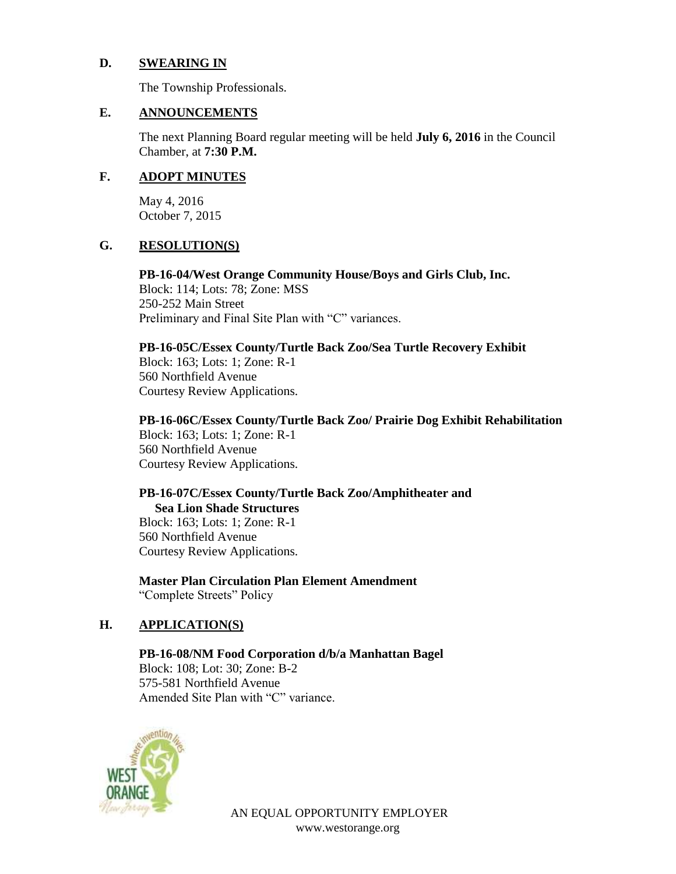# **D. SWEARING IN**

The Township Professionals.

#### **E. ANNOUNCEMENTS**

The next Planning Board regular meeting will be held **July 6, 2016** in the Council Chamber, at **7:30 P.M.**

#### **F. ADOPT MINUTES**

May 4, 2016 October 7, 2015

# **G. RESOLUTION(S)**

**PB-16-04/West Orange Community House/Boys and Girls Club, Inc.** Block: 114; Lots: 78; Zone: MSS 250-252 Main Street Preliminary and Final Site Plan with "C" variances.

#### **PB-16-05C/Essex County/Turtle Back Zoo/Sea Turtle Recovery Exhibit**

Block: 163; Lots: 1; Zone: R-1 560 Northfield Avenue Courtesy Review Applications.

# **PB-16-06C/Essex County/Turtle Back Zoo/ Prairie Dog Exhibit Rehabilitation**

Block: 163; Lots: 1; Zone: R-1 560 Northfield Avenue Courtesy Review Applications.

#### **PB-16-07C/Essex County/Turtle Back Zoo/Amphitheater and Sea Lion Shade Structures**

Block: 163; Lots: 1; Zone: R-1 560 Northfield Avenue Courtesy Review Applications.

**Master Plan Circulation Plan Element Amendment** "Complete Streets" Policy

# **H. APPLICATION(S)**

**PB-16-08/NM Food Corporation d/b/a Manhattan Bagel** Block: 108; Lot: 30; Zone: B-2 575-581 Northfield Avenue Amended Site Plan with "C" variance.



AN EQUAL OPPORTUNITY EMPLOYER www.westorange.org